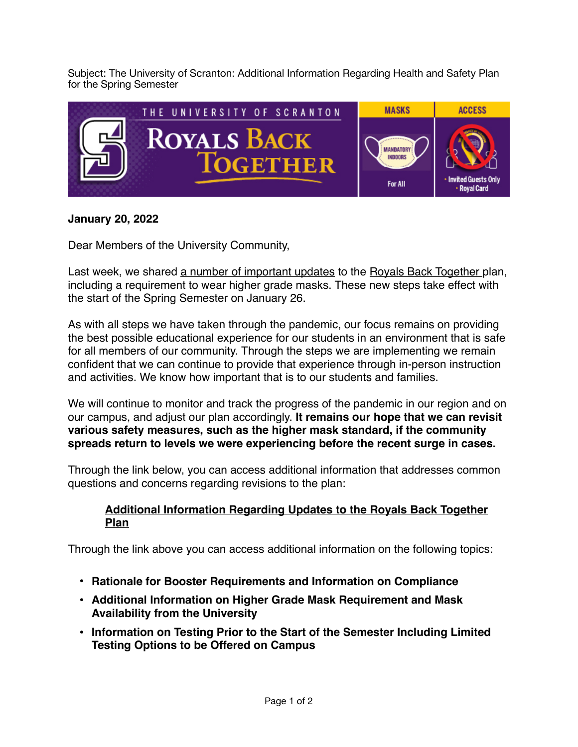Subject: The University of Scranton: Additional Information Regarding Health and Safety Plan for the Spring Semester



## **January 20, 2022**

Dear Members of the University Community,

Last week, we shared [a number of important updates](https://www.scranton.edu/royals-safe-together/assets/documents/1-14-22-spring-semester-update.pdf) to the [Royals Back Together](https://www.scranton.edu/royals-safe-together/index.shtml) plan, including a requirement to wear higher grade masks. These new steps take effect with the start of the Spring Semester on January 26.

As with all steps we have taken through the pandemic, our focus remains on providing the best possible educational experience for our students in an environment that is safe for all members of our community. Through the steps we are implementing we remain confident that we can continue to provide that experience through in-person instruction and activities. We know how important that is to our students and families.

We will continue to monitor and track the progress of the pandemic in our region and on our campus, and adjust our plan accordingly. **It remains our hope that we can revisit various safety measures, such as the higher mask standard, if the community spreads return to levels we were experiencing before the recent surge in cases.**

Through the link below, you can access additional information that addresses common questions and concerns regarding revisions to the plan:

## **[Additional Information Regarding Updates to the Royals Back Together](https://www.scranton.edu/royals-safe-together/assets/documents/01-20-22-additional-updates-spring-2022.pdf)  [Plan](https://www.scranton.edu/royals-safe-together/assets/documents/01-20-22-additional-updates-spring-2022.pdf)**

Through the link above you can access additional information on the following topics:

- **• Rationale for Booster Requirements and Information on Compliance**
- **• Additional Information on Higher Grade Mask Requirement and Mask Availability from the University**
- **• Information on Testing Prior to the Start of the Semester Including Limited Testing Options to be Offered on Campus**